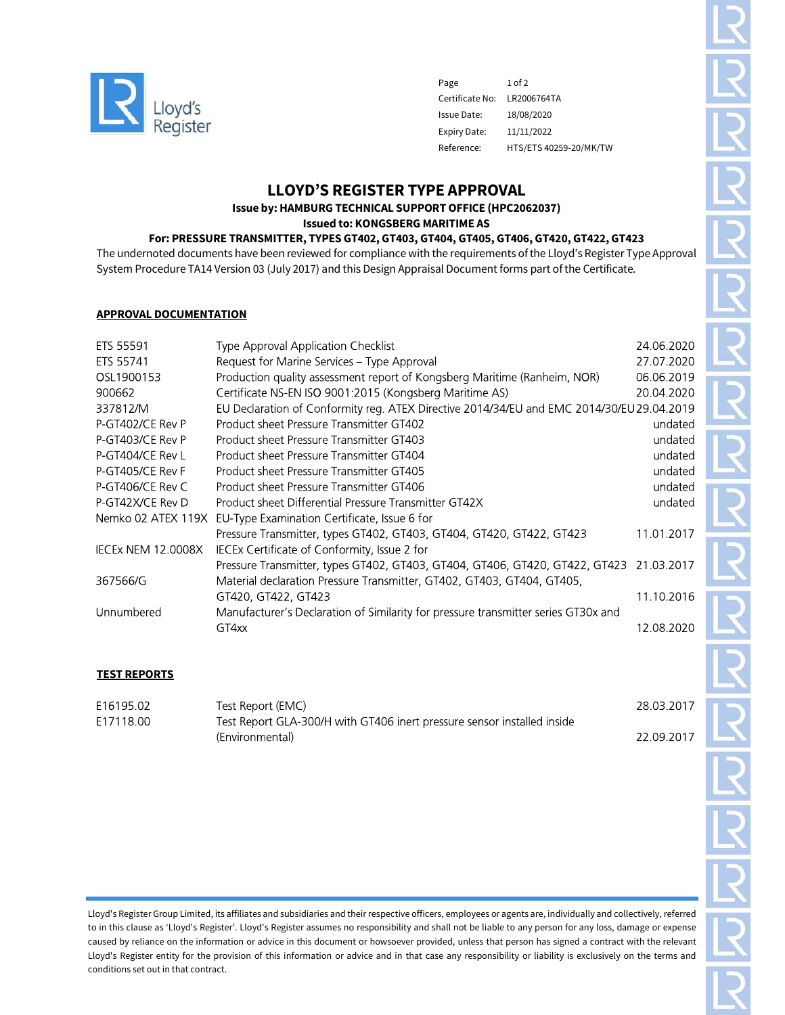

Page 1 of 2 Certificate No: LR2006764TA Issue Date: 18/08/2020 Expiry Date: 11/11/2022 Reference: HTS/ETS 40259-20/MK/TW

# LLOYD'S REGISTER TYPE APPROVAL

Issue by: HAMBURG TECHNICAL SUPPORT OFFICE (HPC2062037)

Issued to: KONGSBERG MARITIME AS

## For: PRESSURE TRANSMITTER, TYPES GT402, GT403, GT404, GT405, GT406, GT420, GT422, GT423

The undernoted documents have been reviewed for compliance with the requirements of the Lloyd's Register Type Approval System Procedure TA14 Version 03 (July 2017) and this Design Appraisal Document forms part of the Certificate.

### APPROVAL DOCUMENTATION

| ETS 55591                 | Type Approval Application Checklist                                                       | 24.06.2020 |
|---------------------------|-------------------------------------------------------------------------------------------|------------|
| ETS 55741                 | Request for Marine Services - Type Approval                                               | 27.07.2020 |
| OSL1900153                | Production quality assessment report of Kongsberg Maritime (Ranheim, NOR)                 | 06.06.2019 |
| 900662                    | Certificate NS-EN ISO 9001.2015 (Kongsberg Maritime AS)                                   | 20.04.2020 |
| 337812/M                  | EU Declaration of Conformity reg. ATEX Directive 2014/34/EU and EMC 2014/30/EU 29.04.2019 |            |
| P-GT402/CE Rev P          | Product sheet Pressure Transmitter GT402                                                  | undated    |
| P-GT403/CE Rev P          | Product sheet Pressure Transmitter GT403                                                  | undated    |
| P-GT404/CE Rev L          | Product sheet Pressure Transmitter GT404                                                  | undated    |
| P-GT405/CE Rev F          | Product sheet Pressure Transmitter GT405                                                  | undated    |
| P-GT406/CE Rev C          | Product sheet Pressure Transmitter GT406                                                  | undated    |
| P-GT42X/CE Rev D          | Product sheet Differential Pressure Transmitter GT42X                                     | undated    |
| Nemko 02 ATEX 119X        | EU-Type Examination Certificate, Issue 6 for                                              |            |
|                           | Pressure Transmitter, types GT402, GT403, GT404, GT420, GT422, GT423                      | 11.01.2017 |
| <b>IECEX NEM 12.0008X</b> | IECEx Certificate of Conformity, Issue 2 for                                              |            |
|                           | Pressure Transmitter, types GT402, GT403, GT404, GT406, GT420, GT422, GT423 21.03.2017    |            |
| 367566/G                  | Material declaration Pressure Transmitter, GT402, GT403, GT404, GT405,                    |            |
|                           | GT420, GT422, GT423                                                                       | 11.10.2016 |
| Unnumbered                | Manufacturer's Declaration of Similarity for pressure transmitter series GT30x and        |            |
|                           | GT4xx                                                                                     | 12.08.2020 |
|                           |                                                                                           |            |

### TEST REPORTS

| E16195.02 | Test Report (EMC)                                                       | 28.03.2017 |
|-----------|-------------------------------------------------------------------------|------------|
| E17118.00 | Test Report GLA-300/H with GT406 inert pressure sensor installed inside |            |
|           | (Environmental)                                                         | 22 09 2017 |

Lloyd's Register Group Limited, its affiliates and subsidiaries and their respective officers, employees or agents are, individually and collectively, referred to in this clause as 'Lloyd's Register'. Lloyd's Register assumes no responsibility and shall not be liable to any person for any loss, damage or expense caused by reliance on the information or advice in this document or howsoever provided, unless that person has signed a contract with the relevant Lloyd's Register entity for the provision of this information or advice and in that case any responsibility or liability is exclusively on the terms and conditions set out in that contract.